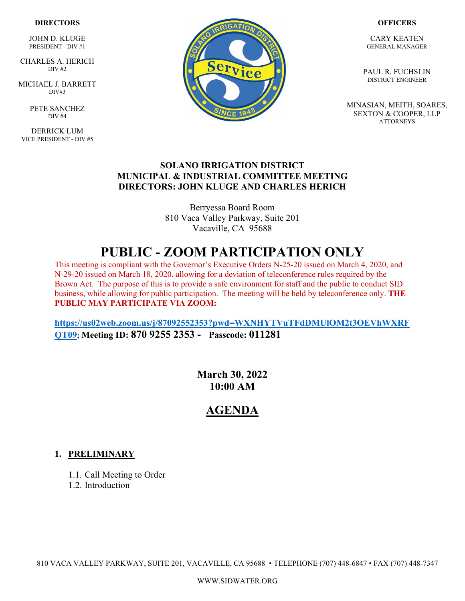### **DIRECTORS**

JOHN D. KLUGE PRESIDENT - DIV #1

 CHARLES A. HERICH  $\overline{DIV}$  #2

MICHAEL J. BARRETT DIV#3

> PETE SANCHEZ DIV #4

DERRICK LUM VICE PRESIDENT - DIV #5



#### **OFFICERS**

CARY KEATEN GENERAL MANAGER

PAUL R. FUCHSLIN DISTRICT ENGINEER

MINASIAN, MEITH, SOARES, SEXTON & COOPER, LLP **ATTORNEYS** 

### **SOLANO IRRIGATION DISTRICT MUNICIPAL & INDUSTRIAL COMMITTEE MEETING DIRECTORS: JOHN KLUGE AND CHARLES HERICH**

Berryessa Board Room 810 Vaca Valley Parkway, Suite 201 Vacaville, CA 95688

# **PUBLIC - ZOOM PARTICIPATION ONLY**

This meeting is compliant with the Governor's Executive Orders N-25-20 issued on March 4, 2020, and N-29-20 issued on March 18, 2020, allowing for a deviation of teleconference rules required by the Brown Act. The purpose of this is to provide a safe environment for staff and the public to conduct SID business, while allowing for public participation. The meeting will be held by teleconference only. **THE PUBLIC MAY PARTICIPATE VIA ZOOM:** 

**[https://us02web.zoom.us/j/87092552353?pwd=WXNHYTVuTFdDMUlOM2t3OEVhWXRF](https://us02web.zoom.us/j/87092552353?pwd=WXNHYTVuTFdDMUlOM2t3OEVhWXRFQT09) [QT09;](https://us02web.zoom.us/j/87092552353?pwd=WXNHYTVuTFdDMUlOM2t3OEVhWXRFQT09) Meeting ID: 870 9255 2353 - Passcode: 011281**

> **March 30, 2022 10:00 AM**

## **AGENDA**

### **1. PRELIMINARY**

1.1. Call Meeting to Order

1.2. Introduction

810 VACA VALLEY PARKWAY, SUITE 201, VACAVILLE, CA 95688 • TELEPHONE (707) 448-6847 • FAX (707) 448-7347